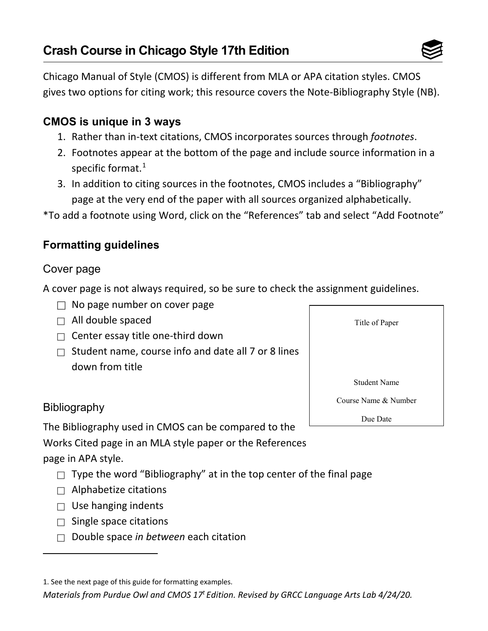

Chicago Manual of Style (CMOS) is different from MLA or APA citation styles. CMOS gives two options for citing work; this resource covers the Note-Bibliography Style (NB).

# **CMOS is unique in 3 ways**

- 1. Rather than in-text citations, CMOS incorporates sources through *footnotes*.
- 2. Footnotes appear at the bottom of the page and include source information in a specific format.<sup>[1](#page-0-0)</sup>
- 3. In addition to citing sources in the footnotes, CMOS includes a "Bibliography" page at the very end of the paper with all sources organized alphabetically.

\*To add a footnote using Word, click on the "References" tab and select "Add Footnote"

## **Formatting guidelines**

## Cover page

A cover page is not always required, so be sure to check the assignment guidelines.

- $\Box$  No page number on cover page
- $\Box$  All double spaced
- $\Box$  Center essay title one-third down
- $\Box$  Student name, course info and date all 7 or 8 lines down from title

# **Bibliography**

The Bibliography used in CMOS can be compared to the

Works Cited page in an MLA style paper or the References

page in APA style.

- $\Box$  Type the word "Bibliography" at in the top center of the final page
- $\Box$  Alphabetize citations
- $\Box$  Use hanging indents
- $\Box$  Single space citations
- □ Double space *in between* each citation

*Materials from Purdue Owl and CMOS 17t Edition. Revised by GRCC Language Arts Lab 4/24/20.* 



<span id="page-0-0"></span><sup>1.</sup> See the next page of this guide for formatting examples.